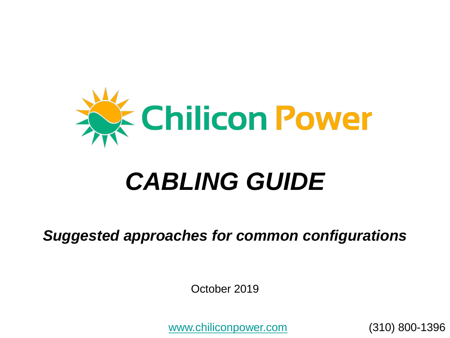

# *CABLING GUIDE*

*Suggested approaches for common configurations*

October 2019

[www.chiliconpower.com](http://www.chiliconpower.com/) (310) 800-1396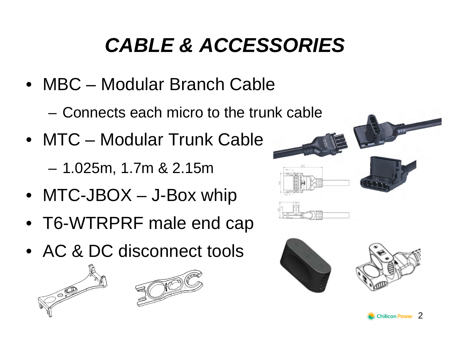# *CABLE & ACCESSORIES*

• MBC – Modular Branch Cable

– Connects each micro to the trunk cable

• MTC – Modular Trunk Cable

– 1.025m, 1.7m & 2.15m

- MTC-JBOX J-Box whip
- T6-WTRPRF male end cap
- AC & DC disconnect tools









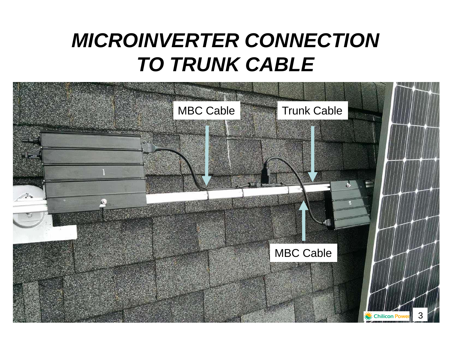## *MICROINVERTER CONNECTION TO TRUNK CABLE*

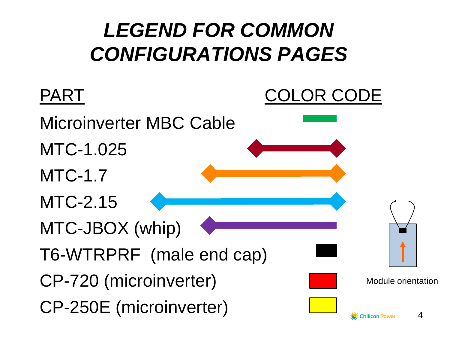# *LEGEND FOR COMMON CONFIGURATIONS PAGES*

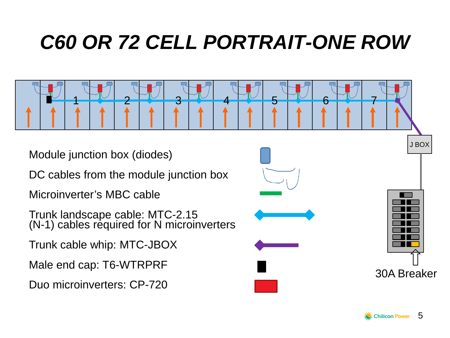# *C60 OR 72 CELL PORTRAIT-ONE ROW*

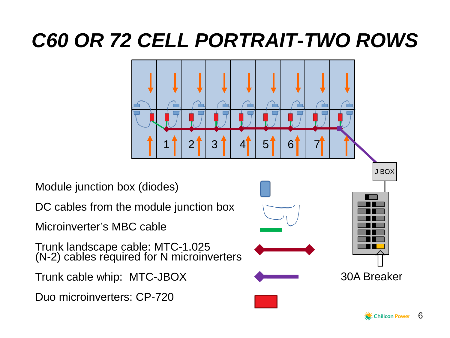### *C60 OR 72 CELL PORTRAIT-TWO ROWS*

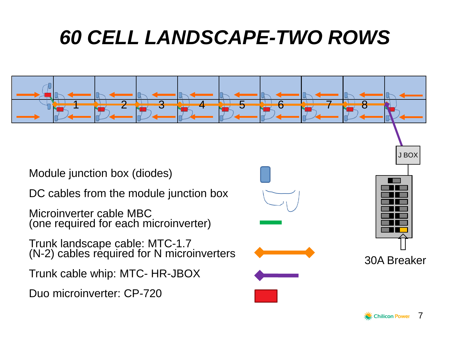## *60 CELL LANDSCAPE-TWO ROWS*

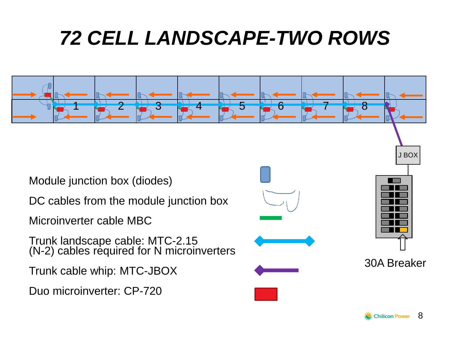# *72 CELL LANDSCAPE-TWO ROWS*



Module junction box (diodes)

DC cables from the module junction box

Microinverter cable MBC

Trunk landscape cable: MTC-2.15 (N-2) cables required for N microinverters

Trunk cable whip: MTC-JBOX

Duo microinverter: CP-720





30A Breaker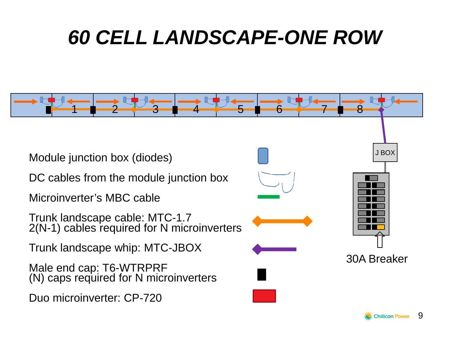## *60 CELL LANDSCAPE-ONE ROW*

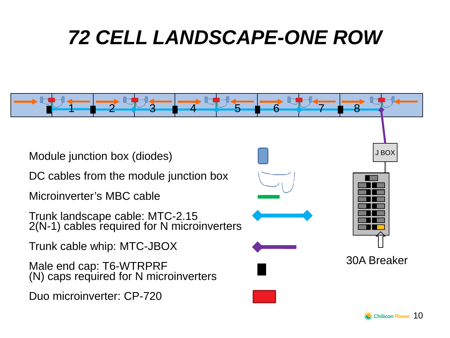## *72 CELL LANDSCAPE-ONE ROW*



 $\gg$  Chilicon Power  $~10$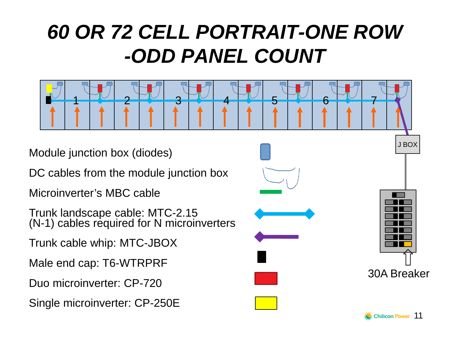# *60 OR 72 CELL PORTRAIT-ONE ROW -ODD PANEL COUNT*



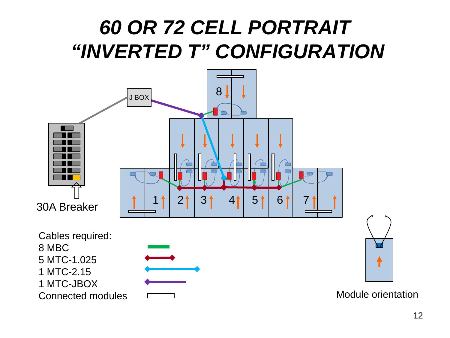### *60 OR 72 CELL PORTRAIT "INVERTED T" CONFIGURATION*